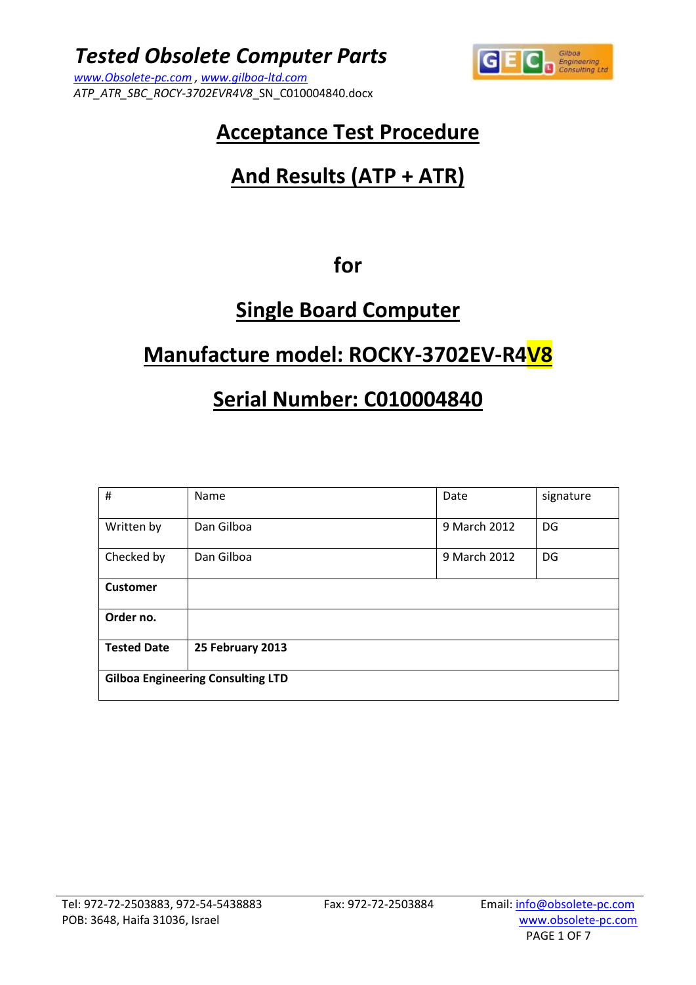

*ATP\_ATR\_SBC\_ROCY-3702EVR4V8*\_SN\_C010004840.docx



## **Acceptance Test Procedure**

# **And Results (ATP + ATR)**

### **for**

## **Single Board Computer**

## **Manufacture model: ROCKY-3702EV-R4V8**

### **Serial Number: C010004840**

| $\#$                                     | <b>Name</b> | Date         | signature |  |  |
|------------------------------------------|-------------|--------------|-----------|--|--|
| Written by                               | Dan Gilboa  | 9 March 2012 | DG        |  |  |
| Checked by                               | Dan Gilboa  | 9 March 2012 | DG        |  |  |
| <b>Customer</b>                          |             |              |           |  |  |
| Order no.                                |             |              |           |  |  |
| <b>Tested Date</b><br>25 February 2013   |             |              |           |  |  |
| <b>Gilboa Engineering Consulting LTD</b> |             |              |           |  |  |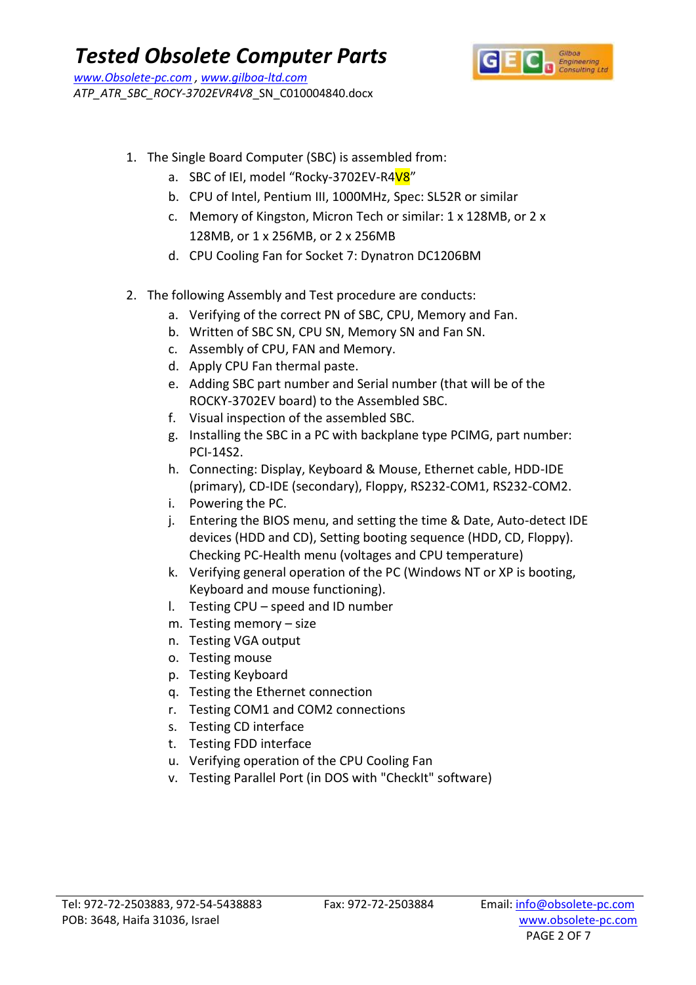

- 1. The Single Board Computer (SBC) is assembled from:
	- a. SBC of IEI, model "Rocky-3702EV-R4V8"
	- b. CPU of Intel, Pentium III, 1000MHz, Spec: SL52R or similar
	- c. Memory of Kingston, Micron Tech or similar: 1 x 128MB, or 2 x 128MB, or 1 x 256MB, or 2 x 256MB
	- d. CPU Cooling Fan for Socket 7: Dynatron DC1206BM
- 2. The following Assembly and Test procedure are conducts:
	- a. Verifying of the correct PN of SBC, CPU, Memory and Fan.
	- b. Written of SBC SN, CPU SN, Memory SN and Fan SN.
	- c. Assembly of CPU, FAN and Memory.
	- d. Apply CPU Fan thermal paste.
	- e. Adding SBC part number and Serial number (that will be of the ROCKY-3702EV board) to the Assembled SBC.
	- f. Visual inspection of the assembled SBC.
	- g. Installing the SBC in a PC with backplane type PCIMG, part number: PCI-14S2.
	- h. Connecting: Display, Keyboard & Mouse, Ethernet cable, HDD-IDE (primary), CD-IDE (secondary), Floppy, RS232-COM1, RS232-COM2.
	- i. Powering the PC.
	- j. Entering the BIOS menu, and setting the time & Date, Auto-detect IDE devices (HDD and CD), Setting booting sequence (HDD, CD, Floppy). Checking PC-Health menu (voltages and CPU temperature)
	- k. Verifying general operation of the PC (Windows NT or XP is booting, Keyboard and mouse functioning).
	- l. Testing CPU speed and ID number
	- m. Testing memory size
	- n. Testing VGA output
	- o. Testing mouse
	- p. Testing Keyboard
	- q. Testing the Ethernet connection
	- r. Testing COM1 and COM2 connections
	- s. Testing CD interface
	- t. Testing FDD interface
	- u. Verifying operation of the CPU Cooling Fan
	- v. Testing Parallel Port (in DOS with "CheckIt" software)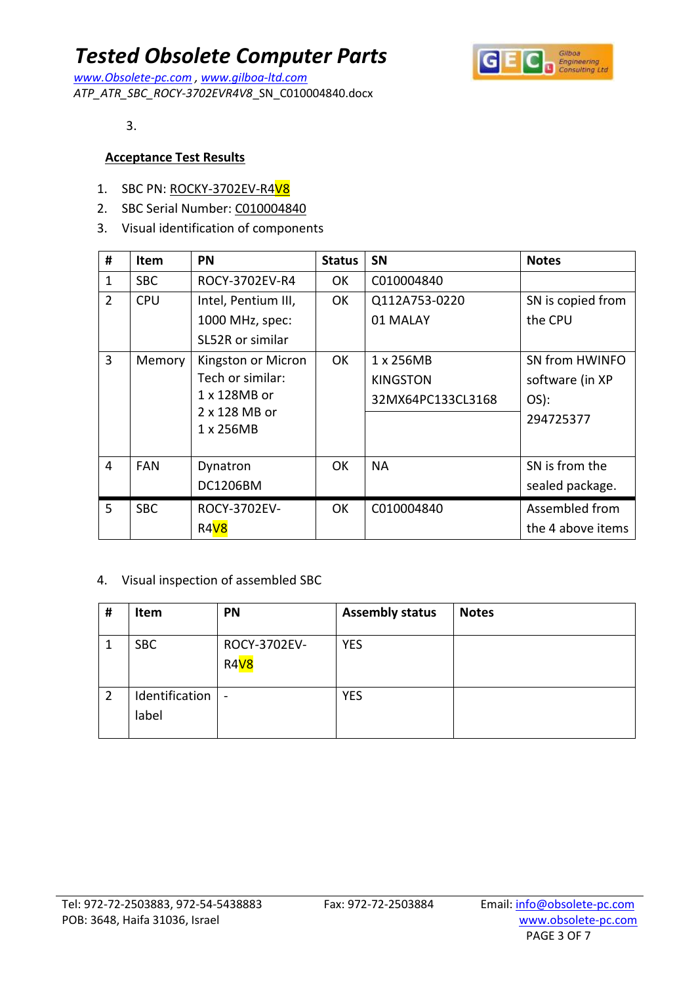*www.Obsolete-pc.com , www.gilboa-ltd.com ATP\_ATR\_SBC\_ROCY-3702EVR4V8*\_SN\_C010004840.docx



3.

#### **Acceptance Test Results**

- 1. SBC PN: ROCKY-3702EV-R4V8
- 2. SBC Serial Number: C010004840
- 3. Visual identification of components

| #              | <b>Item</b> | <b>PN</b>           | <b>Status</b> | <b>SN</b>         | <b>Notes</b>      |
|----------------|-------------|---------------------|---------------|-------------------|-------------------|
| $\mathbf{1}$   | <b>SBC</b>  | ROCY-3702EV-R4      | OK            | C010004840        |                   |
| $\overline{2}$ | <b>CPU</b>  | Intel, Pentium III, | 0K            | Q112A753-0220     | SN is copied from |
|                |             | 1000 MHz, spec:     |               | 01 MALAY          | the CPU           |
|                |             | SL52R or similar    |               |                   |                   |
| 3              | Memory      | Kingston or Micron  | 0K            | 1 x 256MB         | SN from HWINFO    |
|                |             | Tech or similar:    |               | <b>KINGSTON</b>   | software (in XP   |
|                |             | 1 x 128MB or        |               | 32MX64PC133CL3168 | OS):              |
|                |             | 2 x 128 MB or       |               |                   | 294725377         |
|                |             | 1 x 256MB           |               |                   |                   |
| 4              | <b>FAN</b>  | Dynatron            | 0K            | <b>NA</b>         | SN is from the    |
|                |             | DC1206BM            |               |                   | sealed package.   |
| 5              | <b>SBC</b>  | ROCY-3702EV-        | 0K            | C010004840        | Assembled from    |
|                |             | R4 <sub>V8</sub>    |               |                   | the 4 above items |

#### 4. Visual inspection of assembled SBC

| #              | Item                    | PN                               | <b>Assembly status</b> | <b>Notes</b> |
|----------------|-------------------------|----------------------------------|------------------------|--------------|
|                | <b>SBC</b>              | ROCY-3702EV-<br>R4 <sub>V8</sub> | <b>YES</b>             |              |
| $\overline{2}$ | Identification<br>label | $\sim$                           | <b>YES</b>             |              |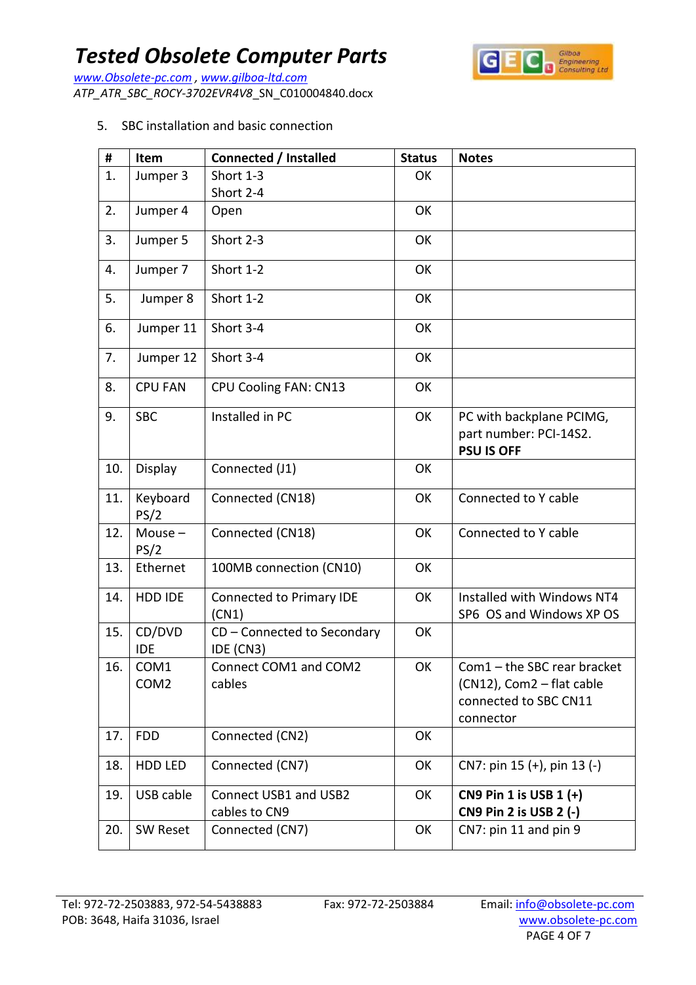

*www.Obsolete-pc.com , www.gilboa-ltd.com ATP\_ATR\_SBC\_ROCY-3702EVR4V8*\_SN\_C010004840.docx

#### 5. SBC installation and basic connection

| #   | Item                     | <b>Connected / Installed</b>             | <b>Status</b> | <b>Notes</b>                                                                                     |
|-----|--------------------------|------------------------------------------|---------------|--------------------------------------------------------------------------------------------------|
| 1.  | Jumper 3                 | Short 1-3                                | OK            |                                                                                                  |
|     |                          | Short 2-4                                |               |                                                                                                  |
| 2.  | Jumper 4                 | Open                                     | OK            |                                                                                                  |
| 3.  | Jumper 5                 | Short 2-3                                | OK            |                                                                                                  |
| 4.  | Jumper 7                 | Short 1-2                                | OK            |                                                                                                  |
| 5.  | Jumper 8                 | Short 1-2                                | OK            |                                                                                                  |
| 6.  | Jumper 11                | Short 3-4                                | OK            |                                                                                                  |
| 7.  | Jumper 12                | Short 3-4                                | OK            |                                                                                                  |
| 8.  | <b>CPU FAN</b>           | CPU Cooling FAN: CN13                    | OK            |                                                                                                  |
| 9.  | <b>SBC</b>               | Installed in PC                          | OK            | PC with backplane PCIMG,<br>part number: PCI-14S2.<br><b>PSU IS OFF</b>                          |
| 10. | Display                  | Connected (J1)                           | OK            |                                                                                                  |
| 11. | Keyboard<br>PS/2         | Connected (CN18)                         | OK            | Connected to Y cable                                                                             |
| 12. | Mouse $-$<br>PS/2        | Connected (CN18)                         | OK            | Connected to Y cable                                                                             |
| 13. | Ethernet                 | 100MB connection (CN10)                  | OK            |                                                                                                  |
| 14. | HDD IDE                  | Connected to Primary IDE<br>(CN1)        | OK            | Installed with Windows NT4<br>SP6 OS and Windows XP OS                                           |
| 15. | CD/DVD<br><b>IDE</b>     | CD - Connected to Secondary<br>IDE (CN3) | OK            |                                                                                                  |
| 16. | COM1<br>COM <sub>2</sub> | Connect COM1 and COM2<br>cables          | OK            | $Com1$ – the SBC rear bracket<br>(CN12), Com2 - flat cable<br>connected to SBC CN11<br>connector |
| 17. | <b>FDD</b>               | Connected (CN2)                          | OK            |                                                                                                  |
| 18. | HDD LED                  | Connected (CN7)                          | OK            | CN7: pin 15 $(+)$ , pin 13 $(-)$                                                                 |
| 19. | USB cable                | Connect USB1 and USB2<br>cables to CN9   | OK            | CN9 Pin 1 is USB 1 (+)<br>CN9 Pin 2 is USB 2 (-)                                                 |
| 20. | SW Reset                 | Connected (CN7)                          | OK            | CN7: pin 11 and pin 9                                                                            |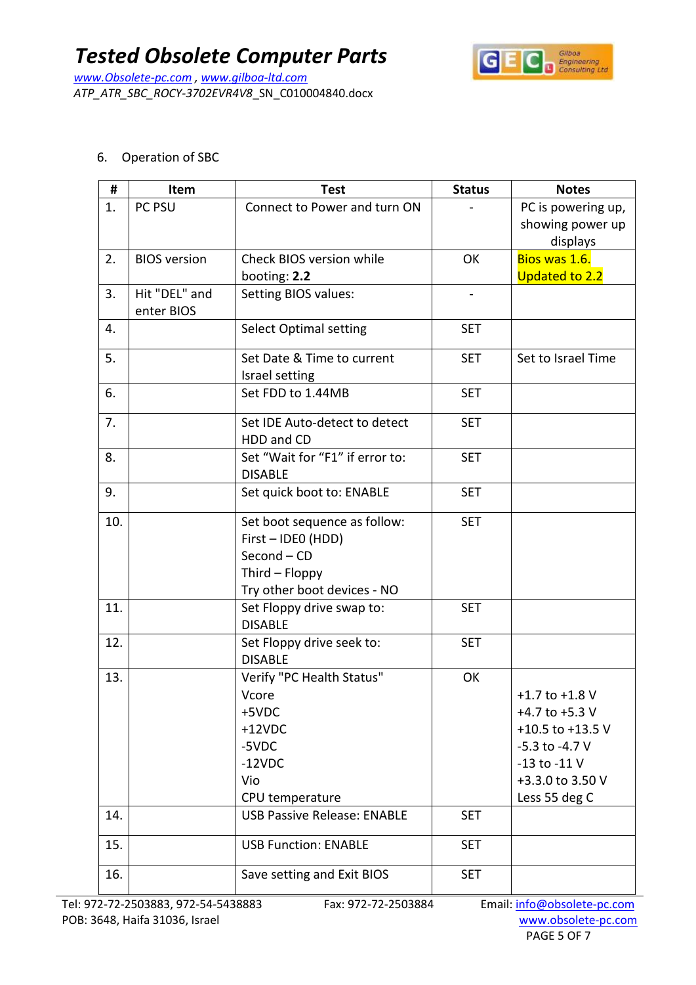*www.Obsolete-pc.com , www.gilboa-ltd.com ATP\_ATR\_SBC\_ROCY-3702EVR4V8*\_SN\_C010004840.docx



6. Operation of SBC

| #   | Item                        | <b>Test</b>                                                                                                        | <b>Status</b> | <b>Notes</b>                                                                                                                              |
|-----|-----------------------------|--------------------------------------------------------------------------------------------------------------------|---------------|-------------------------------------------------------------------------------------------------------------------------------------------|
| 1.  | PC PSU                      | Connect to Power and turn ON                                                                                       |               | PC is powering up,<br>showing power up<br>displays                                                                                        |
| 2.  | <b>BIOS</b> version         | Check BIOS version while<br>booting: 2.2                                                                           | OK            | Bios was 1.6.<br><b>Updated to 2.2</b>                                                                                                    |
| 3.  | Hit "DEL" and<br>enter BIOS | Setting BIOS values:                                                                                               |               |                                                                                                                                           |
| 4.  |                             | <b>Select Optimal setting</b>                                                                                      | <b>SET</b>    |                                                                                                                                           |
| 5.  |                             | Set Date & Time to current<br>Israel setting                                                                       | <b>SET</b>    | Set to Israel Time                                                                                                                        |
| 6.  |                             | Set FDD to 1.44MB                                                                                                  | <b>SET</b>    |                                                                                                                                           |
| 7.  |                             | Set IDE Auto-detect to detect<br>HDD and CD                                                                        | <b>SET</b>    |                                                                                                                                           |
| 8.  |                             | Set "Wait for "F1" if error to:<br><b>DISABLE</b>                                                                  | <b>SET</b>    |                                                                                                                                           |
| 9.  |                             | Set quick boot to: ENABLE                                                                                          | <b>SET</b>    |                                                                                                                                           |
| 10. |                             | Set boot sequence as follow:<br>First - IDEO (HDD)<br>Second - CD<br>Third - Floppy<br>Try other boot devices - NO | <b>SET</b>    |                                                                                                                                           |
| 11. |                             | Set Floppy drive swap to:<br><b>DISABLE</b>                                                                        | <b>SET</b>    |                                                                                                                                           |
| 12. |                             | Set Floppy drive seek to:<br><b>DISABLE</b>                                                                        | <b>SET</b>    |                                                                                                                                           |
| 13. |                             | Verify "PC Health Status"<br>Vcore<br>+5VDC<br>$+12VDC$<br>-5VDC<br>$-12VDC$<br>Vio<br>CPU temperature             | OK            | $+1.7$ to $+1.8$ V<br>+4.7 to +5.3 $V$<br>+10.5 to +13.5 V<br>$-5.3$ to $-4.7$ V<br>$-13$ to $-11$ V<br>+3.3.0 to 3.50 V<br>Less 55 deg C |
| 14. |                             | <b>USB Passive Release: ENABLE</b>                                                                                 | <b>SET</b>    |                                                                                                                                           |
| 15. |                             | <b>USB Function: ENABLE</b>                                                                                        | <b>SET</b>    |                                                                                                                                           |
| 16. |                             | Save setting and Exit BIOS                                                                                         | <b>SET</b>    |                                                                                                                                           |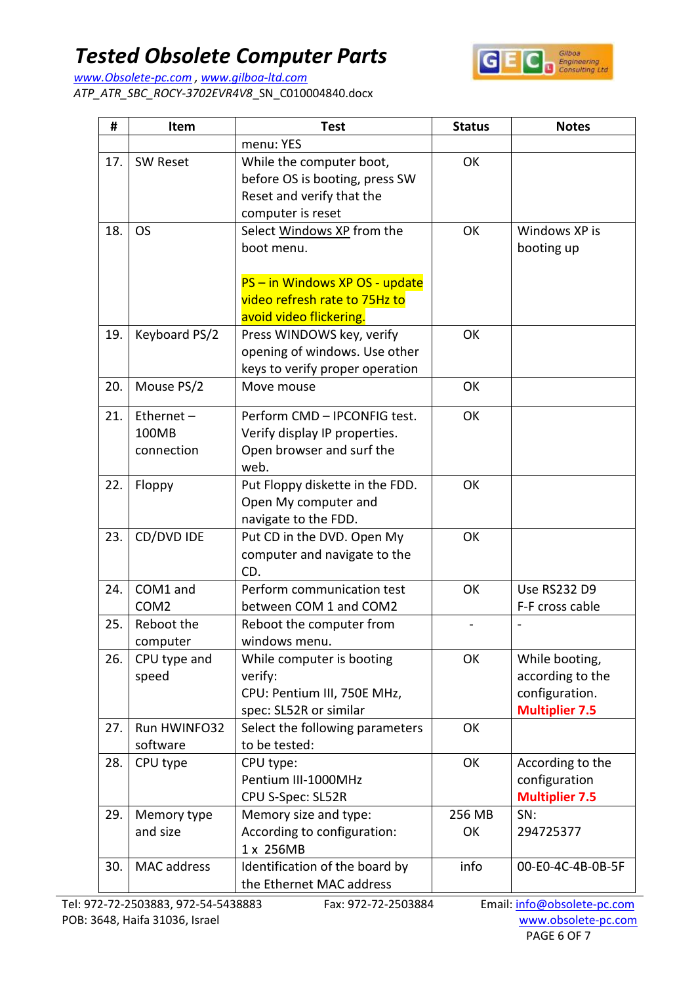

*www.Obsolete-pc.com , www.gilboa-ltd.com ATP\_ATR\_SBC\_ROCY-3702EVR4V8*\_SN\_C010004840.docx

| #   | Item             | <b>Test</b>                                                | <b>Status</b> | <b>Notes</b>                            |
|-----|------------------|------------------------------------------------------------|---------------|-----------------------------------------|
|     |                  | menu: YES                                                  |               |                                         |
| 17. | <b>SW Reset</b>  | While the computer boot,                                   | OK            |                                         |
|     |                  | before OS is booting, press SW                             |               |                                         |
|     |                  | Reset and verify that the                                  |               |                                         |
|     |                  | computer is reset                                          |               |                                         |
| 18. | <b>OS</b>        | Select Windows XP from the<br>boot menu.                   | OK            | Windows XP is                           |
|     |                  |                                                            |               | booting up                              |
|     |                  | PS - in Windows XP OS - update                             |               |                                         |
|     |                  | video refresh rate to 75Hz to                              |               |                                         |
|     |                  | avoid video flickering.                                    |               |                                         |
| 19. | Keyboard PS/2    | Press WINDOWS key, verify                                  | OK            |                                         |
|     |                  | opening of windows. Use other                              |               |                                         |
|     |                  | keys to verify proper operation                            |               |                                         |
| 20. | Mouse PS/2       | Move mouse                                                 | OK            |                                         |
| 21. | Ethernet-        | Perform CMD - IPCONFIG test.                               | OK            |                                         |
|     | 100MB            | Verify display IP properties.                              |               |                                         |
|     | connection       | Open browser and surf the                                  |               |                                         |
|     |                  | web.                                                       |               |                                         |
| 22. | Floppy           | Put Floppy diskette in the FDD.                            | OK            |                                         |
|     |                  | Open My computer and                                       |               |                                         |
|     |                  | navigate to the FDD.                                       |               |                                         |
| 23. | CD/DVD IDE       | Put CD in the DVD. Open My<br>computer and navigate to the | OK            |                                         |
|     |                  | CD.                                                        |               |                                         |
| 24. | COM1 and         | Perform communication test                                 | OK            | <b>Use RS232 D9</b>                     |
|     | COM <sub>2</sub> | between COM 1 and COM2                                     |               | F-F cross cable                         |
| 25. | Reboot the       | Reboot the computer from                                   |               |                                         |
|     | computer         | windows menu.                                              |               |                                         |
| 26. | CPU type and     | While computer is booting                                  | OK            | While booting,                          |
|     | speed            | verify:                                                    |               | according to the                        |
|     |                  | CPU: Pentium III, 750E MHz,<br>spec: SL52R or similar      |               | configuration.<br><b>Multiplier 7.5</b> |
| 27. | Run HWINFO32     | Select the following parameters                            | OK            |                                         |
|     | software         | to be tested:                                              |               |                                         |
| 28. | CPU type         | CPU type:                                                  | OK            | According to the                        |
|     |                  | Pentium III-1000MHz                                        |               | configuration                           |
|     |                  | CPU S-Spec: SL52R                                          |               | <b>Multiplier 7.5</b>                   |
| 29. | Memory type      | Memory size and type:                                      | 256 MB        | SN:                                     |
|     | and size         | According to configuration:                                | OK            | 294725377                               |
|     |                  | 1 x 256MB                                                  |               |                                         |
| 30. | MAC address      | Identification of the board by                             | info          | 00-E0-4C-4B-0B-5F                       |
|     |                  | the Ethernet MAC address                                   |               |                                         |